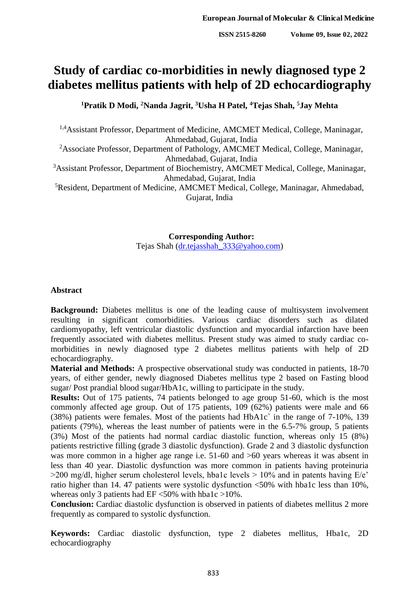# **Study of cardiac co-morbidities in newly diagnosed type 2 diabetes mellitus patients with help of 2D echocardiography**

**<sup>1</sup>Pratik D Modi, <sup>2</sup>Nanda Jagrit, <sup>3</sup>Usha H Patel, <sup>4</sup>Tejas Shah, <sup>5</sup>Jay Mehta**

<sup>1,4</sup>Assistant Professor, Department of Medicine, AMCMET Medical, College, Maninagar, Ahmedabad, Gujarat, India <sup>2</sup>Associate Professor, Department of Pathology, AMCMET Medical, College, Maninagar,

Ahmedabad, Gujarat, India

<sup>3</sup>Assistant Professor, Department of Biochemistry, AMCMET Medical, College, Maninagar, Ahmedabad, Gujarat, India

<sup>5</sup>Resident, Department of Medicine, AMCMET Medical, College, Maninagar, Ahmedabad, Gujarat, India

> **Corresponding Author:** Tejas Shah [\(dr.tejasshah\\_333@yahoo.com\)](mailto:dr.tejasshah_333@yahoo.com)

### **Abstract**

**Background:** Diabetes mellitus is one of the leading cause of multisystem involvement resulting in significant comorbidities. Various cardiac disorders such as dilated cardiomyopathy, left ventricular diastolic dysfunction and myocardial infarction have been frequently associated with diabetes mellitus. Present study was aimed to study cardiac comorbidities in newly diagnosed type 2 diabetes mellitus patients with help of 2D echocardiography.

**Material and Methods:** A prospective observational study was conducted in patients, 18-70 years, of either gender, newly diagnosed Diabetes mellitus type 2 based on Fasting blood sugar/ Post prandial blood sugar/HbA1c, willing to participate in the study.

**Results:** Out of 175 patients, 74 patients belonged to age group 51-60, which is the most commonly affected age group. Out of 175 patients, 109 (62%) patients were male and 66 (38%) patients were females. Most of the patients had HbA1c` in the range of 7-10%, 139 patients (79%), whereas the least number of patients were in the 6.5-7% group, 5 patients (3%) Most of the patients had normal cardiac diastolic function, whereas only 15 (8%) patients restrictive filling (grade 3 diastolic dysfunction). Grade 2 and 3 diastolic dysfunction was more common in a higher age range i.e. 51-60 and  $>60$  years whereas it was absent in less than 40 year. Diastolic dysfunction was more common in patients having proteinuria  $>$ 200 mg/dl, higher serum cholesterol levels, hba1c levels  $>$  10% and in patents having E/e' ratio higher than 14. 47 patients were systolic dysfunction <50% with hba1c less than 10%, whereas only 3 patients had  $EF < 50\%$  with hba1c >10%.

**Conclusion:** Cardiac diastolic dysfunction is observed in patients of diabetes mellitus 2 more frequently as compared to systolic dysfunction.

**Keywords:** Cardiac diastolic dysfunction, type 2 diabetes mellitus, Hba1c, 2D echocardiography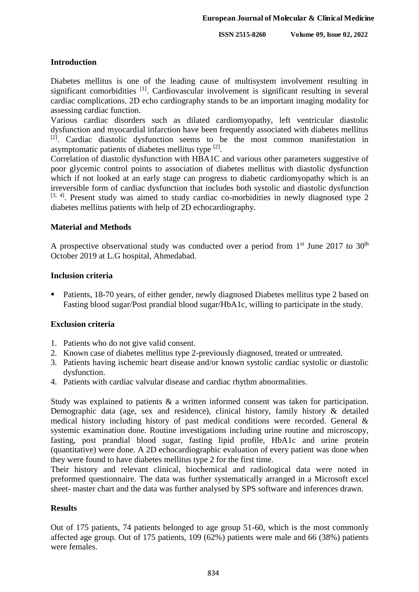# **Introduction**

Diabetes mellitus is one of the leading cause of multisystem involvement resulting in significant comorbidities <sup>[1]</sup>. Cardiovascular involvement is significant resulting in several cardiac complications. 2D echo cardiography stands to be an important imaging modality for assessing cardiac function.

Various cardiac disorders such as dilated cardiomyopathy, left ventricular diastolic dysfunction and myocardial infarction have been frequently associated with diabetes mellitus  $[2]$ . Cardiac diastolic dysfunction seems to be the most common manifestation in asymptomatic patients of diabetes mellitus type [2].

Correlation of diastolic dysfunction with HBA1C and various other parameters suggestive of poor glycemic control points to association of diabetes mellitus with diastolic dysfunction which if not looked at an early stage can progress to diabetic cardiomyopathy which is an irreversible form of cardiac dysfunction that includes both systolic and diastolic dysfunction  $[3, 4]$ . Present study was aimed to study cardiac co-morbidities in newly diagnosed type 2 diabetes mellitus patients with help of 2D echocardiography.

## **Material and Methods**

A prospective observational study was conducted over a period from  $1<sup>st</sup>$  June 2017 to 30<sup>th</sup> October 2019 at L.G hospital, Ahmedabad.

## **Inclusion criteria**

• Patients, 18-70 years, of either gender, newly diagnosed Diabetes mellitus type 2 based on Fasting blood sugar/Post prandial blood sugar/HbA1c, willing to participate in the study.

# **Exclusion criteria**

- 1. Patients who do not give valid consent.
- 2. Known case of diabetes mellitus type 2-previously diagnosed, treated or untreated.
- 3. Patients having ischemic heart disease and/or known systolic cardiac systolic or diastolic dysfunction.
- 4. Patients with cardiac valvular disease and cardiac rhythm abnormalities.

Study was explained to patients & a written informed consent was taken for participation. Demographic data (age, sex and residence), clinical history, family history & detailed medical history including history of past medical conditions were recorded. General & systemic examination done. Routine investigations including urine routine and microscopy, fasting, post prandial blood sugar, fasting lipid profile, HbA1c and urine protein (quantitative) were done. A 2D echocardiographic evaluation of every patient was done when they were found to have diabetes mellitus type 2 for the first time.

Their history and relevant clinical, biochemical and radiological data were noted in preformed questionnaire. The data was further systematically arranged in a Microsoft excel sheet- master chart and the data was further analysed by SPS software and inferences drawn.

# **Results**

Out of 175 patients, 74 patients belonged to age group 51-60, which is the most commonly affected age group. Out of 175 patients, 109 (62%) patients were male and 66 (38%) patients were females.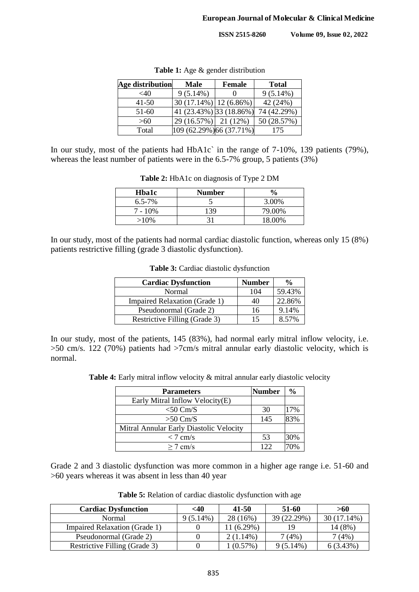**ISSN 2515-8260 Volume 09, Issue 02, 2022**

| Age distribution | Male                     | <b>Female</b> | <b>Total</b> |  |
|------------------|--------------------------|---------------|--------------|--|
| ${<}40$          | $9(5.14\%)$              |               | 9(5.14%)     |  |
| $41 - 50$        | $30(17.14\%)$ 12 (6.86%) |               | 42 (24%)     |  |
| 51-60            | 41 (23.43%) 33 (18.86%)  |               | 74 (42.29%)  |  |
| >60              | $29(16.57%)$ 21 (12%)    |               | 50 (28.57%)  |  |
| Total            | 109 (62.29%) 66 (37.71%) |               | 175          |  |

**Table 1:** Age & gender distribution

In our study, most of the patients had HbA1c` in the range of 7-10%, 139 patients (79%), whereas the least number of patients were in the 6.5-7% group, 5 patients (3%)

| <b>Hba1c</b> | <b>Number</b> | $\frac{6}{9}$ |
|--------------|---------------|---------------|
| $6.5 - 7\%$  |               | 3.00%         |
| $7 - 10\%$   | 139           | 79.00%        |
| $>10\%$      |               | 18.00%        |

**Table 2:** HbA1c on diagnosis of Type 2 DM

In our study, most of the patients had normal cardiac diastolic function, whereas only 15 (8%) patients restrictive filling (grade 3 diastolic dysfunction).

| <b>Cardiac Dysfunction</b>    | <b>Number</b> | $\frac{0}{0}$ |
|-------------------------------|---------------|---------------|
| Normal                        | 104           | 59.43%        |
| Impaired Relaxation (Grade 1) | 40            | 22.86%        |
| Pseudonormal (Grade 2)        | 16            | 9.14%         |
| Restrictive Filling (Grade 3) | 15            | 8.57%         |

**Table 3:** Cardiac diastolic dysfunction

In our study, most of the patients, 145 (83%), had normal early mitral inflow velocity, i.e. >50 cm/s. 122 (70%) patients had >7cm/s mitral annular early diastolic velocity, which is normal.

Table 4: Early mitral inflow velocity  $\&$  mitral annular early diastolic velocity

| <b>Parameters</b>                       | <b>Number</b> | $\frac{0}{0}$ |
|-----------------------------------------|---------------|---------------|
| Early Mitral Inflow Velocity(E)         |               |               |
| $<$ 50 Cm/S                             | 30            | 17%           |
| $>50$ Cm/S                              | 145           | 83%           |
| Mitral Annular Early Diastolic Velocity |               |               |
| $< 7$ cm/s                              | 53            | 30%           |
| $\geq$ 7 cm/s                           | 122           |               |

Grade 2 and 3 diastolic dysfunction was more common in a higher age range i.e. 51-60 and >60 years whereas it was absent in less than 40 year

**Table 5:** Relation of cardiac diastolic dysfunction with age

| <b>Cardiac Dysfunction</b>    | <40         | 41-50       | 51-60       | >60         |
|-------------------------------|-------------|-------------|-------------|-------------|
| Normal                        | $9(5.14\%)$ | 28 (16%)    | 39 (22.29%) | 30 (17.14%) |
| Impaired Relaxation (Grade 1) |             | $1(6.29\%)$ |             | .4 (8%)     |
| Pseudonormal (Grade 2)        |             | $2(1.14\%)$ | $(4\%)$     | (4% )       |
| Restrictive Filling (Grade 3) |             | $(0.57\%)$  | $9(5.14\%)$ | 6(3.43%)    |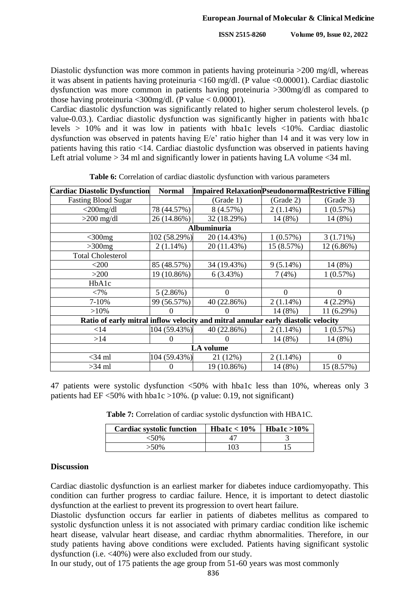Diastolic dysfunction was more common in patients having proteinuria >200 mg/dl, whereas it was absent in patients having proteinuria <160 mg/dl. (P value <0.00001). Cardiac diastolic dysfunction was more common in patients having proteinuria >300mg/dl as compared to those having proteinuria  $\langle 300 \text{mg/dl} \rangle$ . (P value  $\langle 0.00001 \rangle$ .

Cardiac diastolic dysfunction was significantly related to higher serum cholesterol levels. (p value-0.03.). Cardiac diastolic dysfunction was significantly higher in patients with hba1c levels > 10% and it was low in patients with hba1c levels <10%. Cardiac diastolic dysfunction was observed in patents having E/e' ratio higher than 14 and it was very low in patients having this ratio <14. Cardiac diastolic dysfunction was observed in patients having Left atrial volume  $> 34$  ml and significantly lower in patients having LA volume  $< 34$  ml.

| <b>Cardiac Diastolic Dysfunction</b>                                              | <b>Normal</b>     | <b>Impaired Relaxation Pseudonormal Restrictive Filling</b> |             |                |  |  |
|-----------------------------------------------------------------------------------|-------------------|-------------------------------------------------------------|-------------|----------------|--|--|
| <b>Fasting Blood Sugar</b>                                                        |                   | (Grade 1)                                                   | (Grade 2)   | (Grade 3)      |  |  |
| $<$ 200mg/dl                                                                      | 78 (44.57%)       | 8 (4.57%)                                                   | $2(1.14\%)$ | 1(0.57%)       |  |  |
| $>200$ mg/dl                                                                      | 26 (14.86%)       | 32 (18.29%)                                                 | 14 (8%)     | 14 (8%)        |  |  |
| Albuminuria                                                                       |                   |                                                             |             |                |  |  |
| $<$ 300 $mg$                                                                      | 102 (58.29%)      | 20 (14.43%)                                                 | 1(0.57%)    | $3(1.71\%)$    |  |  |
| $>300$ mg                                                                         | $2(1.14\%)$       | 20 (11.43%)                                                 | 15 (8.57%)  | 12 (6.86%)     |  |  |
| <b>Total Cholesterol</b>                                                          |                   |                                                             |             |                |  |  |
| $<$ 200                                                                           | 85 (48.57%)       | 34 (19.43%)                                                 | $9(5.14\%)$ | 14 (8%)        |  |  |
| $>200$                                                                            | 19 (10.86%)       | 6(3.43%)                                                    | 7(4%)       | 1(0.57%)       |  |  |
| HbA1c                                                                             |                   |                                                             |             |                |  |  |
| <7%                                                                               | 5(2.86%)          | 0                                                           | $\Omega$    | $\overline{0}$ |  |  |
| 7-10%                                                                             | 99 (56.57%)       | 40 (22.86%)                                                 | $2(1.14\%)$ | 4(2.29%)       |  |  |
| $>10\%$                                                                           | $\mathbf{\Omega}$ |                                                             | 14 (8%)     | 11 (6.29%)     |  |  |
| Ratio of early mitral inflow velocity and mitral annular early diastolic velocity |                   |                                                             |             |                |  |  |
| $<$ 14                                                                            | 104 (59.43%)      | 40 (22.86%)                                                 | $2(1.14\%)$ | 1(0.57%)       |  |  |
| >14                                                                               | 0                 |                                                             | 14 (8%)     | 14 (8%)        |  |  |
| <b>LA</b> volume                                                                  |                   |                                                             |             |                |  |  |
| $<$ 34 ml                                                                         | 104 (59.43%)      | 21 (12%)                                                    | $2(1.14\%)$ | 0              |  |  |
| $>34$ ml                                                                          |                   | 19 (10.86%)                                                 | 14 (8%)     | 15 (8.57%)     |  |  |

**Table 6:** Correlation of cardiac diastolic dysfunction with various parameters

47 patients were systolic dysfunction <50% with hba1c less than 10%, whereas only 3 patients had EF <50% with hba1c >10%. (p value: 0.19, not significant)

**Table 7:** Correlation of cardiac systolic dysfunction with HBA1C.

| <b>Cardiac systolic function</b> | Hba1c $< 10\%$ | Hba1c $>10\%$ |
|----------------------------------|----------------|---------------|
| <50%                             |                |               |
| $>50\%$                          | 103            |               |

# **Discussion**

Cardiac diastolic dysfunction is an earliest marker for diabetes induce cardiomyopathy. This condition can further progress to cardiac failure. Hence, it is important to detect diastolic dysfunction at the earliest to prevent its progression to overt heart failure.

Diastolic dysfunction occurs far earlier in patients of diabetes mellitus as compared to systolic dysfunction unless it is not associated with primary cardiac condition like ischemic heart disease, valvular heart disease, and cardiac rhythm abnormalities. Therefore, in our study patients having above conditions were excluded. Patients having significant systolic dysfunction (i.e. <40%) were also excluded from our study.

In our study, out of 175 patients the age group from 51-60 years was most commonly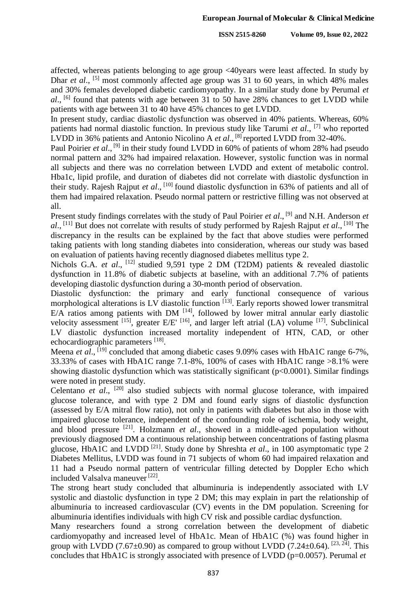affected, whereas patients belonging to age group <40years were least affected. In study by Dhar *et al.*, <sup>[5]</sup> most commonly affected age group was 31 to 60 years, in which 48% males and 30% females developed diabetic cardiomyopathy. In a similar study done by Perumal *et al*., [6] found that patents with age between 31 to 50 have 28% chances to get LVDD while patients with age between 31 to 40 have 45% chances to get LVDD.

In present study, cardiac diastolic dysfunction was observed in 40% patients. Whereas, 60% patients had normal diastolic function. In previous study like Tarumi *et al*., [7] who reported LVDD in 36% patients and Antonio Nicolino A *et al.*, <sup>[8]</sup> reported LVDD from 32-40%.

Paul Poirier et al., <sup>[9]</sup> in their study found LVDD in 60% of patients of whom 28% had pseudo normal pattern and 32% had impaired relaxation. However, systolic function was in normal all subjects and there was no correlation between LVDD and extent of metabolic control. Hba1c, lipid profile, and duration of diabetes did not correlate with diastolic dysfunction in their study. Rajesh Rajput et al., <sup>[10]</sup> found diastolic dysfunction in 63% of patients and all of them had impaired relaxation. Pseudo normal pattern or restrictive filling was not observed at all.

Present study findings correlates with the study of Paul Poirier *et al.*, <sup>[9]</sup> and N.H. Anderson *et al*., [11] But does not correlate with results of study performed by Rajesh Rajput *et al*., [10] The discrepancy in the results can be explained by the fact that above studies were performed taking patients with long standing diabetes into consideration, whereas our study was based on evaluation of patients having recently diagnosed diabetes mellitus type 2.

Nichols G.A. *et al.*, <sup>[12]</sup> studied 9,591 type 2 DM (T2DM) patients & revealed diastolic dysfunction in 11.8% of diabetic subjects at baseline, with an additional 7.7% of patients developing diastolic dysfunction during a 30-month period of observation.

Diastolic dysfunction: the primary and early functional consequence of various morphological alterations is LV diastolic function [13]. Early reports showed lower transmitral E/A ratios among patients with DM  $[14]$ , followed by lower mitral annular early diastolic velocity assessment  $^{[15]}$ , greater E/E'  $^{[16]}$ , and larger left atrial (LA) volume  $^{[17]}$ . Subclinical LV diastolic dysfunction increased mortality independent of HTN, CAD, or other echocardiographic parameters [18].

Meena *et al.*, <sup>[19]</sup> concluded that among diabetic cases 9.09% cases with HbA1C range 6-7%, 33.33% of cases with HbA1C range 7.1-8%, 100% of cases with HbA1C range >8.1% were showing diastolic dysfunction which was statistically significant (p<0.0001). Similar findings were noted in present study.

Celentano et al., <sup>[20]</sup> also studied subjects with normal glucose tolerance, with impaired glucose tolerance, and with type 2 DM and found early signs of diastolic dysfunction (assessed by E/A mitral flow ratio), not only in patients with diabetes but also in those with impaired glucose tolerance, independent of the confounding role of ischemia, body weight, and blood pressure <sup>[21]</sup>. Holzmann *et al.*, showed in a middle-aged population without previously diagnosed DM a continuous relationship between concentrations of fasting plasma glucose, HbA1C and LVDD<sup>[21]</sup>. Study done by Shreshta *et al.*, in 100 asymptomatic type 2 Diabetes Mellitus, LVDD was found in 71 subjects of whom 60 had impaired relaxation and 11 had a Pseudo normal pattern of ventricular filling detected by Doppler Echo which included Valsalva maneuver<sup>[22]</sup>.

The strong heart study concluded that albuminuria is independently associated with LV systolic and diastolic dysfunction in type 2 DM; this may explain in part the relationship of albuminuria to increased cardiovascular (CV) events in the DM population. Screening for albuminuria identifies individuals with high CV risk and possible cardiac dysfunction.

Many researchers found a strong correlation between the development of diabetic cardiomyopathy and increased level of HbA1c. Mean of HbA1C (%) was found higher in group with LVDD (7.67 $\pm$ 0.90) as compared to group without LVDD (7.24 $\pm$ 0.64). [23, 24]. This concludes that HbA1C is strongly associated with presence of LVDD (p=0.0057). Perumal *et*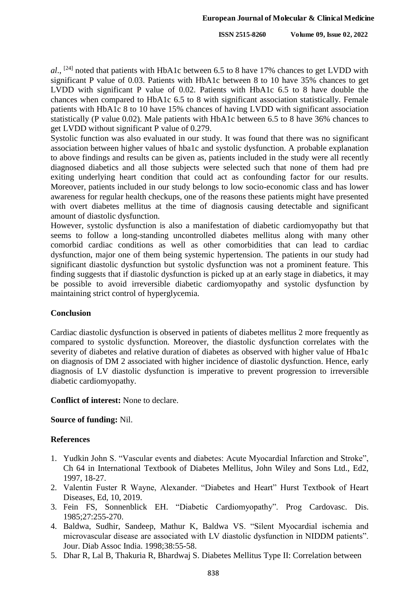al., <sup>[24]</sup> noted that patients with HbA1c between 6.5 to 8 have 17% chances to get LVDD with significant P value of 0.03. Patients with HbA1c between 8 to 10 have 35% chances to get LVDD with significant P value of 0.02. Patients with HbA1c 6.5 to 8 have double the chances when compared to HbA1c 6.5 to 8 with significant association statistically. Female patients with HbA1c 8 to 10 have 15% chances of having LVDD with significant association statistically (P value 0.02). Male patients with HbA1c between 6.5 to 8 have 36% chances to get LVDD without significant P value of 0.279.

Systolic function was also evaluated in our study. It was found that there was no significant association between higher values of hba1c and systolic dysfunction. A probable explanation to above findings and results can be given as, patients included in the study were all recently diagnosed diabetics and all those subjects were selected such that none of them had pre exiting underlying heart condition that could act as confounding factor for our results. Moreover, patients included in our study belongs to low socio-economic class and has lower awareness for regular health checkups, one of the reasons these patients might have presented with overt diabetes mellitus at the time of diagnosis causing detectable and significant amount of diastolic dysfunction.

However, systolic dysfunction is also a manifestation of diabetic cardiomyopathy but that seems to follow a long-standing uncontrolled diabetes mellitus along with many other comorbid cardiac conditions as well as other comorbidities that can lead to cardiac dysfunction, major one of them being systemic hypertension. The patients in our study had significant diastolic dysfunction but systolic dysfunction was not a prominent feature. This finding suggests that if diastolic dysfunction is picked up at an early stage in diabetics, it may be possible to avoid irreversible diabetic cardiomyopathy and systolic dysfunction by maintaining strict control of hyperglycemia.

## **Conclusion**

Cardiac diastolic dysfunction is observed in patients of diabetes mellitus 2 more frequently as compared to systolic dysfunction. Moreover, the diastolic dysfunction correlates with the severity of diabetes and relative duration of diabetes as observed with higher value of Hba1c on diagnosis of DM 2 associated with higher incidence of diastolic dysfunction. Hence, early diagnosis of LV diastolic dysfunction is imperative to prevent progression to irreversible diabetic cardiomyopathy.

### **Conflict of interest:** None to declare.

### **Source of funding:** Nil.

### **References**

- 1. Yudkin John S. "Vascular events and diabetes: Acute Myocardial Infarction and Stroke", Ch 64 in International Textbook of Diabetes Mellitus, John Wiley and Sons Ltd., Ed2, 1997, 18-27.
- 2. Valentin Fuster R Wayne, Alexander. "Diabetes and Heart" Hurst Textbook of Heart Diseases, Ed, 10, 2019.
- 3. Fein FS, Sonnenblick EH. "Diabetic Cardiomyopathy". Prog Cardovasc. Dis. 1985;27:255-270.
- 4. Baldwa, Sudhir, Sandeep, Mathur K, Baldwa VS. "Silent Myocardial ischemia and microvascular disease are associated with LV diastolic dysfunction in NIDDM patients". Jour. Diab Assoc India. 1998;38:55-58.
- 5. Dhar R, Lal B, Thakuria R, Bhardwaj S. Diabetes Mellitus Type II: Correlation between